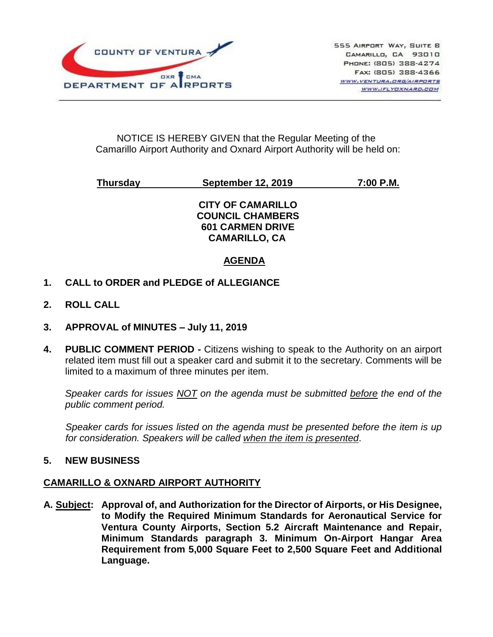

# NOTICE IS HEREBY GIVEN that the Regular Meeting of the Camarillo Airport Authority and Oxnard Airport Authority will be held on:

# **Thursday September 12, 2019 7:00 P.M.**

**CITY OF CAMARILLO COUNCIL CHAMBERS 601 CARMEN DRIVE CAMARILLO, CA**

# **AGENDA**

- **1. CALL to ORDER and PLEDGE of ALLEGIANCE**
- **2. ROLL CALL**
- **3. APPROVAL of MINUTES – July 11, 2019**
- **4. PUBLIC COMMENT PERIOD -** Citizens wishing to speak to the Authority on an airport related item must fill out a speaker card and submit it to the secretary. Comments will be limited to a maximum of three minutes per item.

*Speaker cards for issues NOT on the agenda must be submitted before the end of the public comment period.*

*Speaker cards for issues listed on the agenda must be presented before the item is up for consideration. Speakers will be called when the item is presented*.

# **5. NEW BUSINESS**

# **CAMARILLO & OXNARD AIRPORT AUTHORITY**

**A. Subject: Approval of, and Authorization for the Director of Airports, or His Designee, to Modify the Required Minimum Standards for Aeronautical Service for Ventura County Airports, Section 5.2 Aircraft Maintenance and Repair, Minimum Standards paragraph 3. Minimum On-Airport Hangar Area Requirement from 5,000 Square Feet to 2,500 Square Feet and Additional Language.**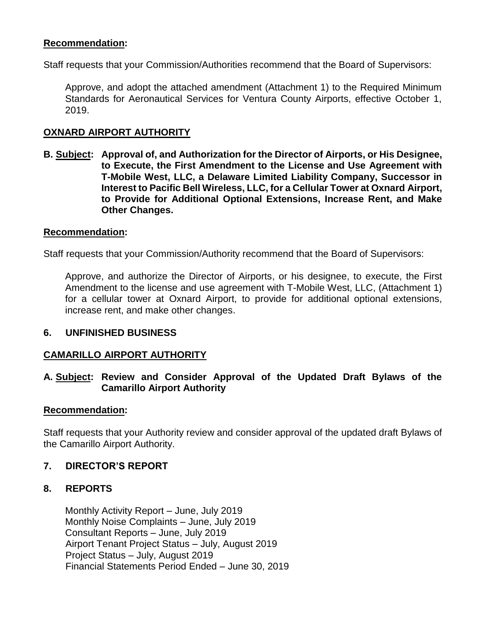# **Recommendation:**

Staff requests that your Commission/Authorities recommend that the Board of Supervisors:

Approve, and adopt the attached amendment (Attachment 1) to the Required Minimum Standards for Aeronautical Services for Ventura County Airports, effective October 1, 2019.

# **OXNARD AIRPORT AUTHORITY**

**B. Subject: Approval of, and Authorization for the Director of Airports, or His Designee, to Execute, the First Amendment to the License and Use Agreement with T-Mobile West, LLC, a Delaware Limited Liability Company, Successor in Interest to Pacific Bell Wireless, LLC, for a Cellular Tower at Oxnard Airport, to Provide for Additional Optional Extensions, Increase Rent, and Make Other Changes.**

#### **Recommendation:**

Staff requests that your Commission/Authority recommend that the Board of Supervisors:

Approve, and authorize the Director of Airports, or his designee, to execute, the First Amendment to the license and use agreement with T-Mobile West, LLC, (Attachment 1) for a cellular tower at Oxnard Airport, to provide for additional optional extensions, increase rent, and make other changes.

#### **6. UNFINISHED BUSINESS**

#### **CAMARILLO AIRPORT AUTHORITY**

# **A. Subject: Review and Consider Approval of the Updated Draft Bylaws of the Camarillo Airport Authority**

#### **Recommendation:**

Staff requests that your Authority review and consider approval of the updated draft Bylaws of the Camarillo Airport Authority.

# **7. DIRECTOR'S REPORT**

#### **8. REPORTS**

Monthly Activity Report – June, July 2019 Monthly Noise Complaints – June, July 2019 Consultant Reports – June, July 2019 Airport Tenant Project Status – July, August 2019 Project Status – July, August 2019 Financial Statements Period Ended – June 30, 2019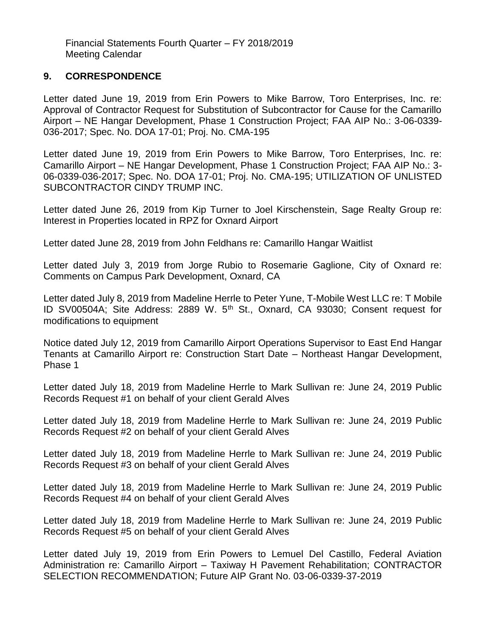Financial Statements Fourth Quarter – FY 2018/2019 Meeting Calendar

# **9. CORRESPONDENCE**

Letter dated June 19, 2019 from Erin Powers to Mike Barrow, Toro Enterprises, Inc. re: Approval of Contractor Request for Substitution of Subcontractor for Cause for the Camarillo Airport – NE Hangar Development, Phase 1 Construction Project; FAA AIP No.: 3-06-0339- 036-2017; Spec. No. DOA 17-01; Proj. No. CMA-195

Letter dated June 19, 2019 from Erin Powers to Mike Barrow, Toro Enterprises, Inc. re: Camarillo Airport – NE Hangar Development, Phase 1 Construction Project; FAA AIP No.: 3- 06-0339-036-2017; Spec. No. DOA 17-01; Proj. No. CMA-195; UTILIZATION OF UNLISTED SUBCONTRACTOR CINDY TRUMP INC.

Letter dated June 26, 2019 from Kip Turner to Joel Kirschenstein, Sage Realty Group re: Interest in Properties located in RPZ for Oxnard Airport

Letter dated June 28, 2019 from John Feldhans re: Camarillo Hangar Waitlist

Letter dated July 3, 2019 from Jorge Rubio to Rosemarie Gaglione, City of Oxnard re: Comments on Campus Park Development, Oxnard, CA

Letter dated July 8, 2019 from Madeline Herrle to Peter Yune, T-Mobile West LLC re: T Mobile ID SV00504A; Site Address: 2889 W. 5<sup>th</sup> St., Oxnard, CA 93030; Consent request for modifications to equipment

Notice dated July 12, 2019 from Camarillo Airport Operations Supervisor to East End Hangar Tenants at Camarillo Airport re: Construction Start Date – Northeast Hangar Development, Phase 1

Letter dated July 18, 2019 from Madeline Herrle to Mark Sullivan re: June 24, 2019 Public Records Request #1 on behalf of your client Gerald Alves

Letter dated July 18, 2019 from Madeline Herrle to Mark Sullivan re: June 24, 2019 Public Records Request #2 on behalf of your client Gerald Alves

Letter dated July 18, 2019 from Madeline Herrle to Mark Sullivan re: June 24, 2019 Public Records Request #3 on behalf of your client Gerald Alves

Letter dated July 18, 2019 from Madeline Herrle to Mark Sullivan re: June 24, 2019 Public Records Request #4 on behalf of your client Gerald Alves

Letter dated July 18, 2019 from Madeline Herrle to Mark Sullivan re: June 24, 2019 Public Records Request #5 on behalf of your client Gerald Alves

Letter dated July 19, 2019 from Erin Powers to Lemuel Del Castillo, Federal Aviation Administration re: Camarillo Airport – Taxiway H Pavement Rehabilitation; CONTRACTOR SELECTION RECOMMENDATION; Future AIP Grant No. 03-06-0339-37-2019